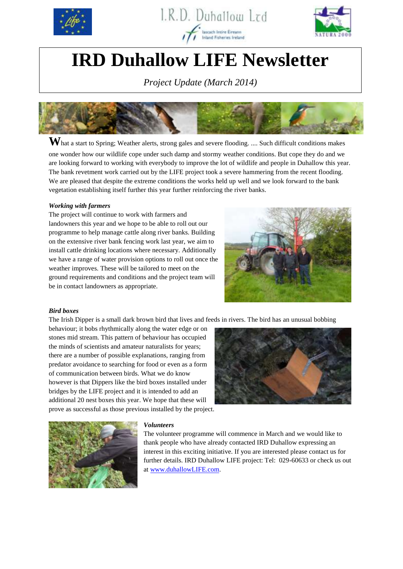





# **IRD Duhallow LIFE Newsletter**

*Project Update (March 2014)*



 $\mathbf{W}$ hat a start to Spring; Weather alerts, strong gales and severe flooding. .... Such difficult conditions makes one wonder how our wildlife cope under such damp and stormy weather conditions. But cope they do and we are looking forward to working with everybody to improve the lot of wildlife and people in Duhallow this year. The bank revetment work carried out by the LIFE project took a severe hammering from the recent flooding. We are pleased that despite the extreme conditions the works held up well and we look forward to the bank vegetation establishing itself further this year further reinforcing the river banks.

# *Working with farmers*

The project will continue to work with farmers and landowners this year and we hope to be able to roll out our programme to help manage cattle along river banks. Building on the extensive river bank fencing work last year, we aim to install cattle drinking locations where necessary. Additionally we have a range of water provision options to roll out once the weather improves. These will be tailored to meet on the ground requirements and conditions and the project team will be in contact landowners as appropriate.



### *Bird boxes*

The Irish Dipper is a small dark brown bird that lives and feeds in rivers. The bird has an unusual bobbing

behaviour; it bobs rhythmically along the water edge or on stones mid stream. This pattern of behaviour has occupied the minds of scientists and amateur naturalists for years; there are a number of possible explanations, ranging from predator avoidance to searching for food or even as a form of communication between birds. What we do know however is that Dippers like the bird boxes installed under bridges by the LIFE project and it is intended to add an additional 20 nest boxes this year. We hope that these will prove as successful as those previous installed by the project.





### *Volunteers*

The volunteer programme will commence in March and we would like to thank people who have already contacted IRD Duhallow expressing an interest in this exciting initiative. If you are interested please contact us for further details. IRD Duhallow LIFE project: Tel: 029-60633 or check us out at [www.duhallowLIFE.com.](http://www.duhallowlife.com/)